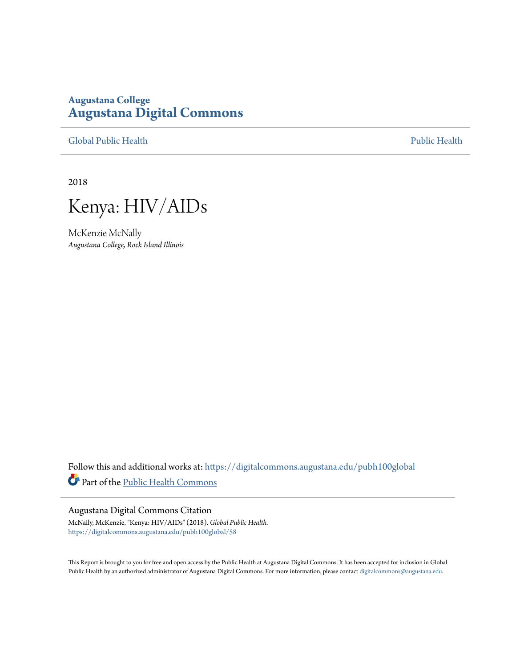# **Augustana College [Augustana Digital Commons](https://digitalcommons.augustana.edu?utm_source=digitalcommons.augustana.edu%2Fpubh100global%2F58&utm_medium=PDF&utm_campaign=PDFCoverPages)**

[Global Public Health](https://digitalcommons.augustana.edu/pubh100global?utm_source=digitalcommons.augustana.edu%2Fpubh100global%2F58&utm_medium=PDF&utm_campaign=PDFCoverPages) [Public Health](https://digitalcommons.augustana.edu/publichealth?utm_source=digitalcommons.augustana.edu%2Fpubh100global%2F58&utm_medium=PDF&utm_campaign=PDFCoverPages)

2018



McKenzie McNally *Augustana College, Rock Island Illinois*

Follow this and additional works at: [https://digitalcommons.augustana.edu/pubh100global](https://digitalcommons.augustana.edu/pubh100global?utm_source=digitalcommons.augustana.edu%2Fpubh100global%2F58&utm_medium=PDF&utm_campaign=PDFCoverPages) Part of the [Public Health Commons](http://network.bepress.com/hgg/discipline/738?utm_source=digitalcommons.augustana.edu%2Fpubh100global%2F58&utm_medium=PDF&utm_campaign=PDFCoverPages)

#### Augustana Digital Commons Citation

McNally, McKenzie. "Kenya: HIV/AIDs" (2018). *Global Public Health.* [https://digitalcommons.augustana.edu/pubh100global/58](https://digitalcommons.augustana.edu/pubh100global/58?utm_source=digitalcommons.augustana.edu%2Fpubh100global%2F58&utm_medium=PDF&utm_campaign=PDFCoverPages)

This Report is brought to you for free and open access by the Public Health at Augustana Digital Commons. It has been accepted for inclusion in Global Public Health by an authorized administrator of Augustana Digital Commons. For more information, please contact [digitalcommons@augustana.edu.](mailto:digitalcommons@augustana.edu)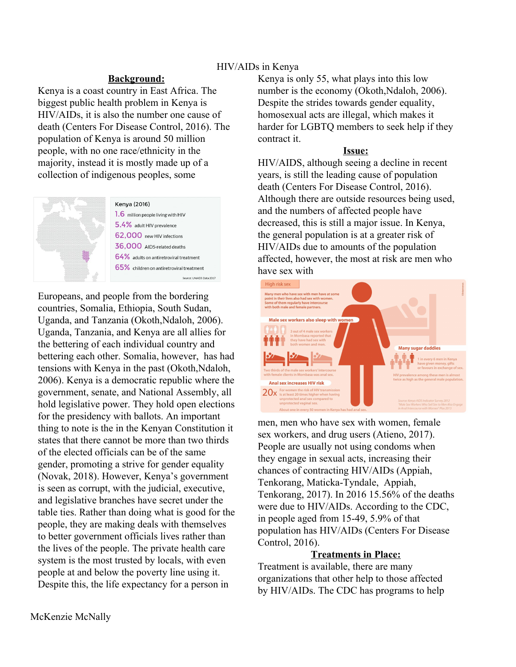# HIV/AIDs in Kenya

### **Background:**

Kenya is a coast country in East Africa. The biggest public health problem in Kenya is HIV/AIDs, it is also the number one cause of death (Centers For Disease Control, 2016). The population of Kenya is around 50 million people, with no one race/ethnicity in the majority, instead it is mostly made up of a collection of indigenous peoples, some



Europeans, and people from the bordering countries, Somalia, Ethiopia, South Sudan, Uganda, and Tanzania (Okoth,Ndaloh, 2006). Uganda, Tanzania, and Kenya are all allies for the bettering of each individual country and bettering each other. Somalia, however, has had tensions with Kenya in the past (Okoth,Ndaloh, 2006). Kenya is a democratic republic where the government, senate, and National Assembly, all hold legislative power. They hold open elections for the presidency with ballots. An important thing to note is the in the Kenyan Constitution it states that there cannot be more than two thirds of the elected officials can be of the same gender, promoting a strive for gender equality (Novak, 2018). However, Kenya's government is seen as corrupt, with the judicial, executive, and legislative branches have secret under the table ties. Rather than doing what is good for the people, they are making deals with themselves to better government officials lives rather than the lives of the people. The private health care system is the most trusted by locals, with even people at and below the poverty line using it. Despite this, the life expectancy for a person in

Kenya is only 55, what plays into this low number is the economy (Okoth,Ndaloh, 2006). Despite the strides towards gender equality, homosexual acts are illegal, which makes it harder for LGBTQ members to seek help if they contract it.

# **Issue:**

HIV/AIDS, although seeing a decline in recent years, is still the leading cause of population death (Centers For Disease Control, 2016). Although there are outside resources being used, and the numbers of affected people have decreased, this is still a major issue. In Kenya, the general population is at a greater risk of HIV/AIDs due to amounts of the population affected, however, the most at risk are men who have sex with



men, men who have sex with women, female sex workers, and drug users (Atieno, 2017). People are usually not using condoms when they engage in sexual acts, increasing their chances of contracting HIV/AIDs (Appiah, Tenkorang, Maticka-Tyndale, Appiah, Tenkorang, 2017). In 2016 15.56% of the deaths were due to HIV/AIDs. According to the CDC, in people aged from 15-49, 5.9% of that population has HIV/AIDs (Centers For Disease Control, 2016).

# **Treatments in Place:**

Treatment is available, there are many organizations that other help to those affected by HIV/AIDs. The CDC has programs to help